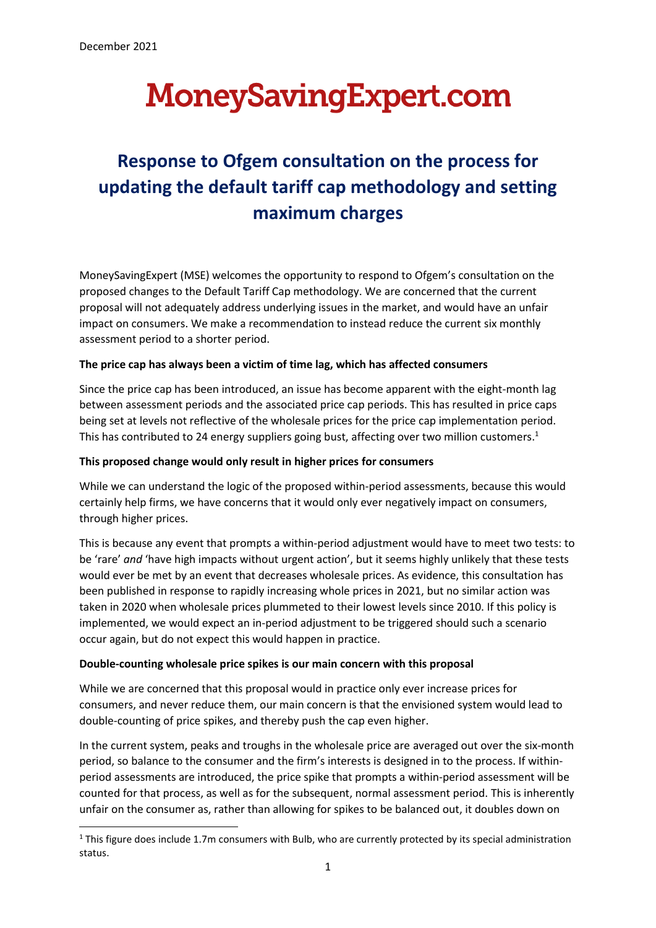# **MoneySavingExpert.com**

# **Response to Ofgem consultation on the process for updating the default tariff cap methodology and setting maximum charges**

MoneySavingExpert (MSE) welcomes the opportunity to respond to Ofgem's consultation on the proposed changes to the Default Tariff Cap methodology. We are concerned that the current proposal will not adequately address underlying issues in the market, and would have an unfair impact on consumers. We make a recommendation to instead reduce the current six monthly assessment period to a shorter period.

# **The price cap has always been a victim of time lag, which has affected consumers**

Since the price cap has been introduced, an issue has become apparent with the eight-month lag between assessment periods and the associated price cap periods. This has resulted in price caps being set at levels not reflective of the wholesale prices for the price cap implementation period. This has contributed to 24 energy suppliers going bust, affecting over two million customers.<sup>1</sup>

# **This proposed change would only result in higher prices for consumers**

While we can understand the logic of the proposed within-period assessments, because this would certainly help firms, we have concerns that it would only ever negatively impact on consumers, through higher prices.

This is because any event that prompts a within-period adjustment would have to meet two tests: to be 'rare' *and* 'have high impacts without urgent action', but it seems highly unlikely that these tests would ever be met by an event that decreases wholesale prices. As evidence, this consultation has been published in response to rapidly increasing whole prices in 2021, but no similar action was taken in 2020 when wholesale prices plummeted to their lowest levels since 2010. If this policy is implemented, we would expect an in-period adjustment to be triggered should such a scenario occur again, but do not expect this would happen in practice.

#### **Double-counting wholesale price spikes is our main concern with this proposal**

While we are concerned that this proposal would in practice only ever increase prices for consumers, and never reduce them, our main concern is that the envisioned system would lead to double-counting of price spikes, and thereby push the cap even higher.

In the current system, peaks and troughs in the wholesale price are averaged out over the six-month period, so balance to the consumer and the firm's interests is designed in to the process. If withinperiod assessments are introduced, the price spike that prompts a within-period assessment will be counted for that process, as well as for the subsequent, normal assessment period. This is inherently unfair on the consumer as, rather than allowing for spikes to be balanced out, it doubles down on

<sup>&</sup>lt;sup>1</sup> This figure does include 1.7m consumers with Bulb, who are currently protected by its special administration status.